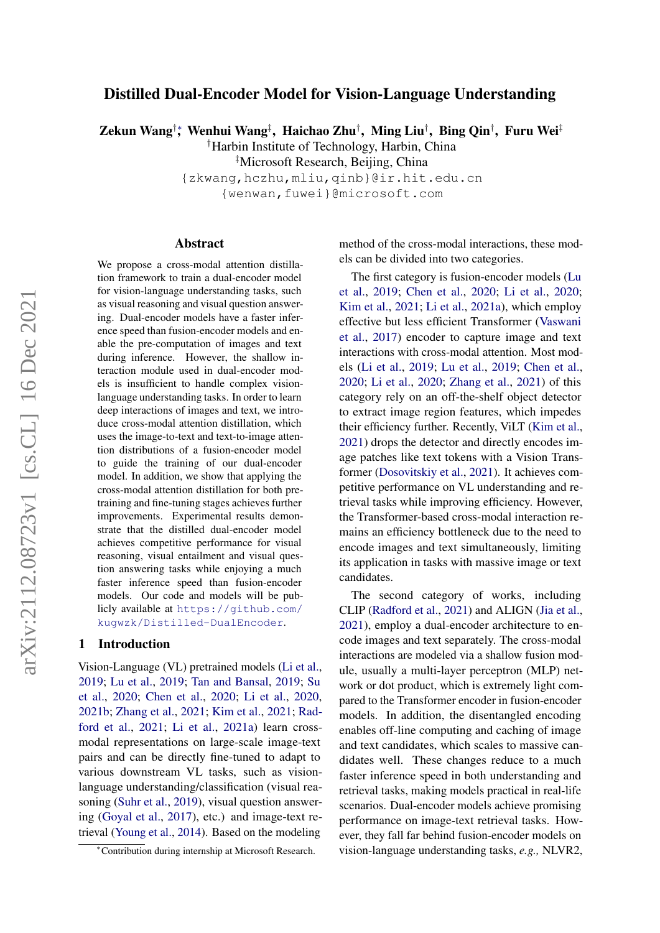# Distilled Dual-Encoder Model for Vision-Language Understanding

Zekun Wang†\*, Wenhui Wang‡, Haichao Zhu†, Ming Liu†, Bing Qin†, Furu Wei‡

†Harbin Institute of Technology, Harbin, China

‡Microsoft Research, Beijing, China

{zkwang,hczhu,mliu,qinb}@ir.hit.edu.cn

{wenwan,fuwei}@microsoft.com

#### Abstract

We propose a cross-modal attention distillation framework to train a dual-encoder model for vision-language understanding tasks, such as visual reasoning and visual question answering. Dual-encoder models have a faster inference speed than fusion-encoder models and enable the pre-computation of images and text during inference. However, the shallow interaction module used in dual-encoder models is insufficient to handle complex visionlanguage understanding tasks. In order to learn deep interactions of images and text, we introduce cross-modal attention distillation, which uses the image-to-text and text-to-image attention distributions of a fusion-encoder model to guide the training of our dual-encoder model. In addition, we show that applying the cross-modal attention distillation for both pretraining and fine-tuning stages achieves further improvements. Experimental results demonstrate that the distilled dual-encoder model achieves competitive performance for visual reasoning, visual entailment and visual question answering tasks while enjoying a much faster inference speed than fusion-encoder models. Our code and models will be publicly available at [https://github.com/](https://github.com/kugwzk/Distilled-DualEncoder) [kugwzk/Distilled-DualEncoder](https://github.com/kugwzk/Distilled-DualEncoder).

# 1 Introduction

Vision-Language (VL) pretrained models [\(Li et al.,](#page-9-0) [2019;](#page-9-0) [Lu et al.,](#page-9-1) [2019;](#page-9-1) [Tan and Bansal,](#page-10-0) [2019;](#page-10-0) [Su](#page-10-1) [et al.,](#page-10-1) [2020;](#page-10-1) [Chen et al.,](#page-7-0) [2020;](#page-7-0) [Li et al.,](#page-9-2) [2020,](#page-9-2) [2021b;](#page-9-3) [Zhang et al.,](#page-11-0) [2021;](#page-11-0) [Kim et al.,](#page-9-4) [2021;](#page-9-4) [Rad](#page-9-5)[ford et al.,](#page-9-5) [2021;](#page-9-5) [Li et al.,](#page-9-6) [2021a\)](#page-9-6) learn crossmodal representations on large-scale image-text pairs and can be directly fine-tuned to adapt to various downstream VL tasks, such as visionlanguage understanding/classification (visual reasoning [\(Suhr et al.,](#page-10-2) [2019\)](#page-10-2), visual question answering [\(Goyal et al.,](#page-8-0) [2017\)](#page-8-0), etc.) and image-text retrieval [\(Young et al.,](#page-11-1) [2014\)](#page-11-1). Based on the modeling

method of the cross-modal interactions, these models can be divided into two categories.

The first category is fusion-encoder models [\(Lu](#page-9-1) [et al.,](#page-9-1) [2019;](#page-9-1) [Chen et al.,](#page-7-0) [2020;](#page-7-0) [Li et al.,](#page-9-2) [2020;](#page-9-2) [Kim et al.,](#page-9-4) [2021;](#page-9-4) [Li et al.,](#page-9-6) [2021a\)](#page-9-6), which employ effective but less efficient Transformer [\(Vaswani](#page-10-3) [et al.,](#page-10-3) [2017\)](#page-10-3) encoder to capture image and text interactions with cross-modal attention. Most models [\(Li et al.,](#page-9-0) [2019;](#page-9-0) [Lu et al.,](#page-9-1) [2019;](#page-9-1) [Chen et al.,](#page-7-0) [2020;](#page-7-0) [Li et al.,](#page-9-2) [2020;](#page-9-2) [Zhang et al.,](#page-11-0) [2021\)](#page-11-0) of this category rely on an off-the-shelf object detector to extract image region features, which impedes their efficiency further. Recently, ViLT [\(Kim et al.,](#page-9-4) [2021\)](#page-9-4) drops the detector and directly encodes image patches like text tokens with a Vision Transformer [\(Dosovitskiy et al.,](#page-8-1) [2021\)](#page-8-1). It achieves competitive performance on VL understanding and retrieval tasks while improving efficiency. However, the Transformer-based cross-modal interaction remains an efficiency bottleneck due to the need to encode images and text simultaneously, limiting its application in tasks with massive image or text candidates.

The second category of works, including CLIP [\(Radford et al.,](#page-9-5) [2021\)](#page-9-5) and ALIGN [\(Jia et al.,](#page-8-2) [2021\)](#page-8-2), employ a dual-encoder architecture to encode images and text separately. The cross-modal interactions are modeled via a shallow fusion module, usually a multi-layer perceptron (MLP) network or dot product, which is extremely light compared to the Transformer encoder in fusion-encoder models. In addition, the disentangled encoding enables off-line computing and caching of image and text candidates, which scales to massive candidates well. These changes reduce to a much faster inference speed in both understanding and retrieval tasks, making models practical in real-life scenarios. Dual-encoder models achieve promising performance on image-text retrieval tasks. However, they fall far behind fusion-encoder models on vision-language understanding tasks, *e.g.,* NLVR2,

<sup>∗</sup>Contribution during internship at Microsoft Research.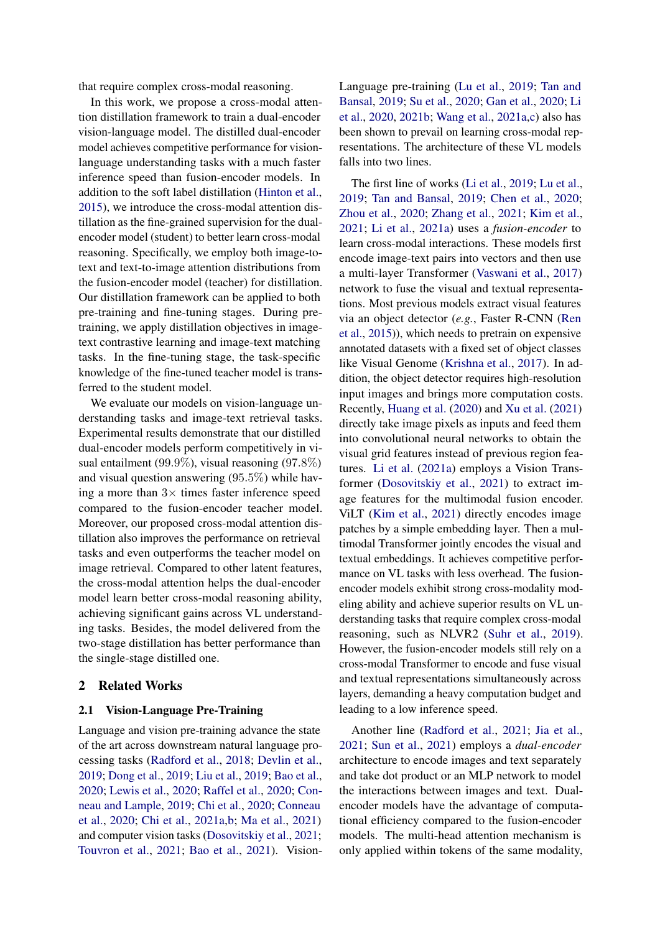that require complex cross-modal reasoning.

In this work, we propose a cross-modal attention distillation framework to train a dual-encoder vision-language model. The distilled dual-encoder model achieves competitive performance for visionlanguage understanding tasks with a much faster inference speed than fusion-encoder models. In addition to the soft label distillation [\(Hinton et al.,](#page-8-3) [2015\)](#page-8-3), we introduce the cross-modal attention distillation as the fine-grained supervision for the dualencoder model (student) to better learn cross-modal reasoning. Specifically, we employ both image-totext and text-to-image attention distributions from the fusion-encoder model (teacher) for distillation. Our distillation framework can be applied to both pre-training and fine-tuning stages. During pretraining, we apply distillation objectives in imagetext contrastive learning and image-text matching tasks. In the fine-tuning stage, the task-specific knowledge of the fine-tuned teacher model is transferred to the student model.

We evaluate our models on vision-language understanding tasks and image-text retrieval tasks. Experimental results demonstrate that our distilled dual-encoder models perform competitively in visual entailment (99.9%), visual reasoning (97.8%) and visual question answering (95.5%) while having a more than  $3\times$  times faster inference speed compared to the fusion-encoder teacher model. Moreover, our proposed cross-modal attention distillation also improves the performance on retrieval tasks and even outperforms the teacher model on image retrieval. Compared to other latent features, the cross-modal attention helps the dual-encoder model learn better cross-modal reasoning ability, achieving significant gains across VL understanding tasks. Besides, the model delivered from the two-stage distillation has better performance than the single-stage distilled one.

# 2 Related Works

# 2.1 Vision-Language Pre-Training

Language and vision pre-training advance the state of the art across downstream natural language processing tasks [\(Radford et al.,](#page-10-4) [2018;](#page-10-4) [Devlin et al.,](#page-8-4) [2019;](#page-8-4) [Dong et al.,](#page-8-5) [2019;](#page-8-5) [Liu et al.,](#page-9-7) [2019;](#page-9-7) [Bao et al.,](#page-7-1) [2020;](#page-7-1) [Lewis et al.,](#page-9-8) [2020;](#page-9-8) [Raffel et al.,](#page-10-5) [2020;](#page-10-5) [Con](#page-8-6)[neau and Lample,](#page-8-6) [2019;](#page-8-6) [Chi et al.,](#page-8-7) [2020;](#page-8-7) [Conneau](#page-8-8) [et al.,](#page-8-8) [2020;](#page-8-8) [Chi et al.,](#page-8-9) [2021a](#page-8-9)[,b;](#page-8-10) [Ma et al.,](#page-9-9) [2021\)](#page-9-9) and computer vision tasks [\(Dosovitskiy et al.,](#page-8-1) [2021;](#page-8-1) [Touvron et al.,](#page-10-6) [2021;](#page-10-6) [Bao et al.,](#page-7-2) [2021\)](#page-7-2). VisionLanguage pre-training [\(Lu et al.,](#page-9-1) [2019;](#page-9-1) [Tan and](#page-10-0) [Bansal,](#page-10-0) [2019;](#page-10-0) [Su et al.,](#page-10-1) [2020;](#page-10-1) [Gan et al.,](#page-8-11) [2020;](#page-8-11) [Li](#page-9-2) [et al.,](#page-9-2) [2020,](#page-9-2) [2021b;](#page-9-3) [Wang et al.,](#page-10-7) [2021a](#page-10-7)[,c\)](#page-10-8) also has been shown to prevail on learning cross-modal representations. The architecture of these VL models falls into two lines.

The first line of works [\(Li et al.,](#page-9-0) [2019;](#page-9-0) [Lu et al.,](#page-9-1) [2019;](#page-9-1) [Tan and Bansal,](#page-10-0) [2019;](#page-10-0) [Chen et al.,](#page-7-0) [2020;](#page-7-0) [Zhou et al.,](#page-11-2) [2020;](#page-11-2) [Zhang et al.,](#page-11-0) [2021;](#page-11-0) [Kim et al.,](#page-9-4) [2021;](#page-9-4) [Li et al.,](#page-9-6) [2021a\)](#page-9-6) uses a *fusion-encoder* to learn cross-modal interactions. These models first encode image-text pairs into vectors and then use a multi-layer Transformer [\(Vaswani et al.,](#page-10-3) [2017\)](#page-10-3) network to fuse the visual and textual representations. Most previous models extract visual features via an object detector (*e.g.*, Faster R-CNN [\(Ren](#page-10-9) [et al.,](#page-10-9) [2015\)](#page-10-9)), which needs to pretrain on expensive annotated datasets with a fixed set of object classes like Visual Genome [\(Krishna et al.,](#page-9-10) [2017\)](#page-9-10). In addition, the object detector requires high-resolution input images and brings more computation costs. Recently, [Huang et al.](#page-8-12) [\(2020\)](#page-8-12) and [Xu et al.](#page-11-3) [\(2021\)](#page-11-3) directly take image pixels as inputs and feed them into convolutional neural networks to obtain the visual grid features instead of previous region features. [Li et al.](#page-9-6) [\(2021a\)](#page-9-6) employs a Vision Transformer [\(Dosovitskiy et al.,](#page-8-1) [2021\)](#page-8-1) to extract image features for the multimodal fusion encoder. ViLT [\(Kim et al.,](#page-9-4) [2021\)](#page-9-4) directly encodes image patches by a simple embedding layer. Then a multimodal Transformer jointly encodes the visual and textual embeddings. It achieves competitive performance on VL tasks with less overhead. The fusionencoder models exhibit strong cross-modality modeling ability and achieve superior results on VL understanding tasks that require complex cross-modal reasoning, such as NLVR2 [\(Suhr et al.,](#page-10-2) [2019\)](#page-10-2). However, the fusion-encoder models still rely on a cross-modal Transformer to encode and fuse visual and textual representations simultaneously across layers, demanding a heavy computation budget and leading to a low inference speed.

Another line [\(Radford et al.,](#page-9-5) [2021;](#page-9-5) [Jia et al.,](#page-8-2) [2021;](#page-8-2) [Sun et al.,](#page-10-10) [2021\)](#page-10-10) employs a *dual-encoder* architecture to encode images and text separately and take dot product or an MLP network to model the interactions between images and text. Dualencoder models have the advantage of computational efficiency compared to the fusion-encoder models. The multi-head attention mechanism is only applied within tokens of the same modality,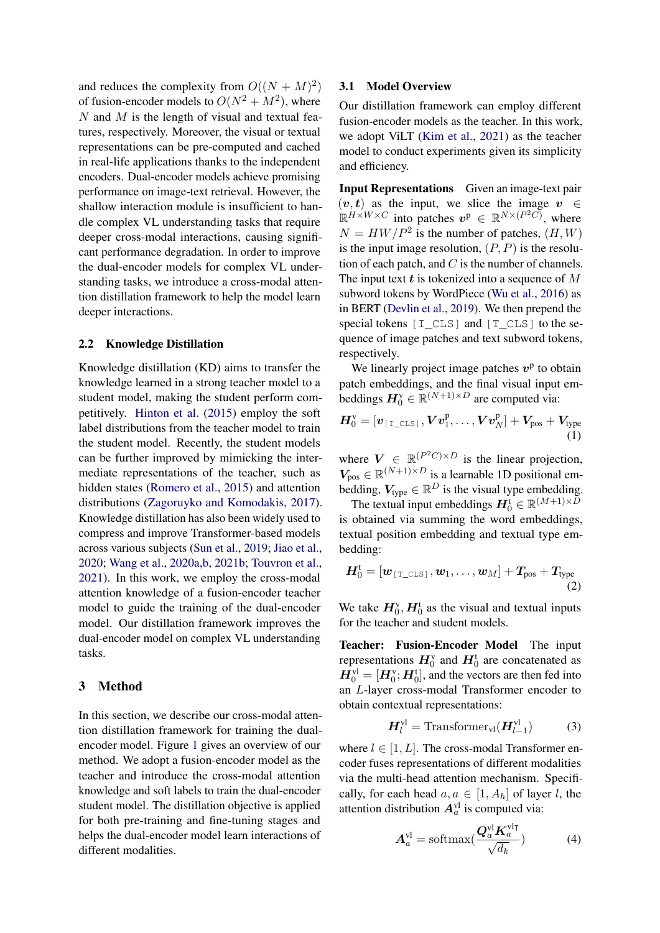and reduces the complexity from  $O((N + M)^2)$ of fusion-encoder models to  $O(N^2 + M^2)$ , where N and M is the length of visual and textual features, respectively. Moreover, the visual or textual representations can be pre-computed and cached in real-life applications thanks to the independent encoders. Dual-encoder models achieve promising performance on image-text retrieval. However, the shallow interaction module is insufficient to handle complex VL understanding tasks that require deeper cross-modal interactions, causing significant performance degradation. In order to improve the dual-encoder models for complex VL understanding tasks, we introduce a cross-modal attention distillation framework to help the model learn deeper interactions.

# 2.2 Knowledge Distillation

Knowledge distillation (KD) aims to transfer the knowledge learned in a strong teacher model to a student model, making the student perform competitively. [Hinton et al.](#page-8-3) [\(2015\)](#page-8-3) employ the soft label distributions from the teacher model to train the student model. Recently, the student models can be further improved by mimicking the intermediate representations of the teacher, such as hidden states [\(Romero et al.,](#page-10-11) [2015\)](#page-10-11) and attention distributions [\(Zagoruyko and Komodakis,](#page-11-4) [2017\)](#page-11-4). Knowledge distillation has also been widely used to compress and improve Transformer-based models across various subjects [\(Sun et al.,](#page-10-12) [2019;](#page-10-12) [Jiao et al.,](#page-8-13) [2020;](#page-8-13) [Wang et al.,](#page-10-13) [2020a,](#page-10-13)[b,](#page-10-14) [2021b;](#page-10-15) [Touvron et al.,](#page-10-6) [2021\)](#page-10-6). In this work, we employ the cross-modal attention knowledge of a fusion-encoder teacher model to guide the training of the dual-encoder model. Our distillation framework improves the dual-encoder model on complex VL understanding tasks.

# 3 Method

In this section, we describe our cross-modal attention distillation framework for training the dualencoder model. Figure [1](#page-3-0) gives an overview of our method. We adopt a fusion-encoder model as the teacher and introduce the cross-modal attention knowledge and soft labels to train the dual-encoder student model. The distillation objective is applied for both pre-training and fine-tuning stages and helps the dual-encoder model learn interactions of different modalities.

#### 3.1 Model Overview

Our distillation framework can employ different fusion-encoder models as the teacher. In this work, we adopt ViLT [\(Kim et al.,](#page-9-4) [2021\)](#page-9-4) as the teacher model to conduct experiments given its simplicity and efficiency.

Input Representations Given an image-text pair  $(v, t)$  as the input, we slice the image  $v \in$  $\mathbb{R}^{H \times W \times C}$  into patches  $v^{\mathsf{p}} \in \mathbb{R}^{N \times (P^2 C)}$ , where  $N = HW/P<sup>2</sup>$  is the number of patches,  $(H, W)$ is the input image resolution,  $(P, P)$  is the resolution of each patch, and  $C$  is the number of channels. The input text  $t$  is tokenized into a sequence of  $M$ subword tokens by WordPiece [\(Wu et al.,](#page-11-5) [2016\)](#page-11-5) as in BERT [\(Devlin et al.,](#page-8-4) [2019\)](#page-8-4). We then prepend the special tokens  $[I_{CLS}]$  and  $[T_{CLS}]$  to the sequence of image patches and text subword tokens, respectively.

We linearly project image patches  $v<sup>p</sup>$  to obtain patch embeddings, and the final visual input embeddings  $H_0^{\text{v}} \in \mathbb{R}^{(N+1)\times D}$  are computed via:

$$
\boldsymbol{H}_{0}^{\text{v}}=[\boldsymbol{v}_{\texttt{[I\_CLS]}}, \boldsymbol{V}\boldsymbol{v}_{1}^{\text{p}}, \ldots, \boldsymbol{V}\boldsymbol{v}_{N}^{\text{p}}] + \boldsymbol{V}_{\text{pos}} + \boldsymbol{V}_{\text{type}} \tag{1}
$$

where  $V \in \mathbb{R}^{(P^2C)\times D}$  is the linear projection,  $V_{\text{pos}} \in \mathbb{R}^{(N+1) \times D}$  is a learnable 1D positional embedding,  $V_{\text{type}} \in \mathbb{R}^D$  is the visual type embedding.

The textual input embeddings  $\mathbf{H}_0^t \in \mathbb{R}^{(M+1) \times \bar{D}}$ is obtained via summing the word embeddings, textual position embedding and textual type embedding:

$$
\boldsymbol{H}_{0}^{\mathrm{t}}=\left[\boldsymbol{w}_{\texttt{\{T\_CLS\}}},\boldsymbol{w}_{1},\ldots,\boldsymbol{w}_{M}\right]+\boldsymbol{T_{\mathrm{pos}}}+\boldsymbol{T_{\mathrm{type}}}\hspace{-2mm}\left(2\right)
$$

We take  $H_0^{\nu}$ ,  $H_0^{\tau}$  as the visual and textual inputs for the teacher and student models.

Teacher: Fusion-Encoder Model The input representations  $H_0^v$  and  $H_0^t$  are concatenated as  $H_0^{\text{vl}} = [H_0^{\text{v}}; H_0^{\text{t}}]$ , and the vectors are then fed into an L-layer cross-modal Transformer encoder to obtain contextual representations:

$$
\boldsymbol{H}_{l}^{\mathrm{vl}} = \mathrm{Transformer}_{\mathrm{vl}}(\boldsymbol{H}_{l-1}^{\mathrm{vl}})
$$
 (3)

where  $l \in [1, L]$ . The cross-modal Transformer encoder fuses representations of different modalities via the multi-head attention mechanism. Specifically, for each head  $a, a \in [1, A_h]$  of layer l, the attention distribution  $A_{a}^{\text{vl}}$  is computed via:

<span id="page-2-0"></span>
$$
\mathbf{A}_{a}^{\mathrm{vl}} = \mathrm{softmax}(\frac{\mathbf{Q}_{a}^{\mathrm{vl}} \mathbf{K}_{a}^{\mathrm{vl}\intercal}}{\sqrt{d_k}})
$$
(4)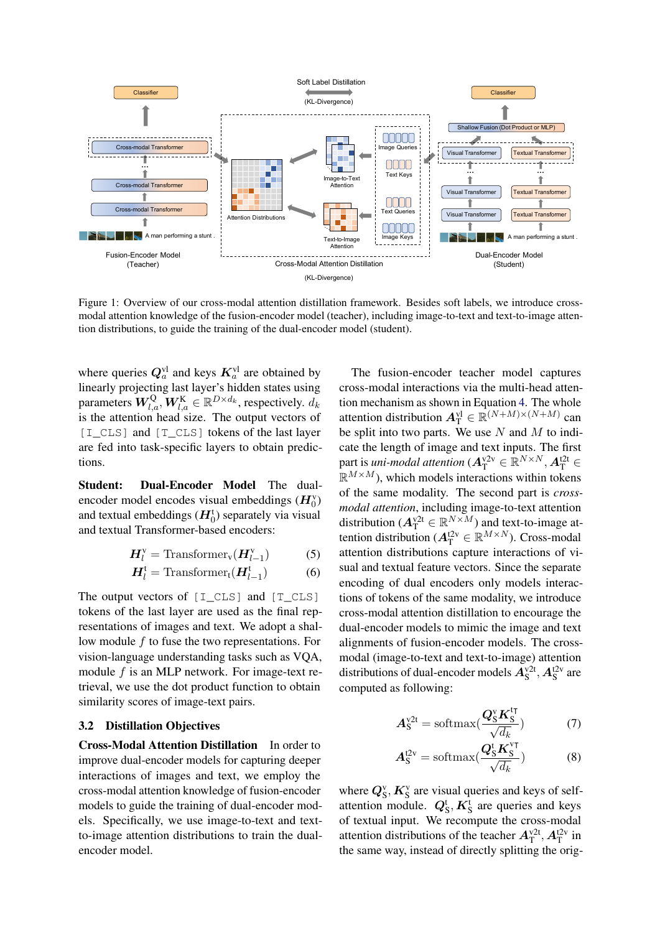<span id="page-3-0"></span>

Figure 1: Overview of our cross-modal attention distillation framework. Besides soft labels, we introduce crossmodal attention knowledge of the fusion-encoder model (teacher), including image-to-text and text-to-image attention distributions, to guide the training of the dual-encoder model (student).

where queries  $Q_a^{\text{vl}}$  and keys  $K_a^{\text{vl}}$  are obtained by linearly projecting last layer's hidden states using parameters  $\bm{W}_{l,a}^{\text{Q}}, \bm{W}_{l,a}^{\text{K}} \in \mathbb{R}^{D \times d_k}$ , respectively.  $d_k$ is the attention head size. The output vectors of [I\_CLS] and [T\_CLS] tokens of the last layer are fed into task-specific layers to obtain predictions.

Student: Dual-Encoder Model The dualencoder model encodes visual embeddings  $(H_0^v)$ and textual embeddings  $(H_0^t)$  separately via visual and textual Transformer-based encoders:

$$
H_l^{\rm v} = \text{Transformer}_{\rm v}(H_{l-1}^{\rm v}) \tag{5}
$$

$$
\boldsymbol{H}_{l}^{\mathrm{t}} = \mathrm{Transformer}_{\mathrm{t}}(\boldsymbol{H}_{l-1}^{\mathrm{t}})
$$
 (6)

The output vectors of [I\_CLS] and [T\_CLS] tokens of the last layer are used as the final representations of images and text. We adopt a shallow module  $f$  to fuse the two representations. For vision-language understanding tasks such as VQA, module f is an MLP network. For image-text retrieval, we use the dot product function to obtain similarity scores of image-text pairs.

#### 3.2 Distillation Objectives

Cross-Modal Attention Distillation In order to improve dual-encoder models for capturing deeper interactions of images and text, we employ the cross-modal attention knowledge of fusion-encoder models to guide the training of dual-encoder models. Specifically, we use image-to-text and textto-image attention distributions to train the dualencoder model.

The fusion-encoder teacher model captures cross-modal interactions via the multi-head attention mechanism as shown in Equation [4.](#page-2-0) The whole attention distribution  $A_{\mathrm{T}}^{\mathrm{vl}} \in \mathbb{R}^{(N+M)\times(N+M)}$  can be split into two parts. We use  $N$  and  $M$  to indicate the length of image and text inputs. The first part is *uni-modal attention* ( $\mathbf{A}^{\text{v2v}}_{\text{T}} \in \mathbb{R}^{N \times N}$ ,  $\mathbf{A}^{\text{t2t}}_{\text{T}} \in$  $\mathbb{R}^{M \times M}$ ), which models interactions within tokens of the same modality. The second part is *crossmodal attention*, including image-to-text attention distribution ( $A_T^{\text{v2t}} \in \mathbb{R}^{N \times M}$ ) and text-to-image attention distribution ( $A_{\rm T}^{12\nu} \in \mathbb{R}^{M \times N}$ ). Cross-modal attention distributions capture interactions of visual and textual feature vectors. Since the separate encoding of dual encoders only models interactions of tokens of the same modality, we introduce cross-modal attention distillation to encourage the dual-encoder models to mimic the image and text alignments of fusion-encoder models. The crossmodal (image-to-text and text-to-image) attention distributions of dual-encoder models  $A_S^{\text{v2t}}$ ,  $A_S^{\text{t2v}}$  are computed as following:

$$
A_S^{\text{v2t}} = \text{softmax}(\frac{Q_S^{\text{v}} K_S^{\text{tr}}}{\sqrt{d_k}})
$$
 (7)

$$
A_S^{t2v} = \text{softmax}(\frac{Q_S^t K_S^{v\tau}}{\sqrt{d_k}})
$$
 (8)

where  $Q_S^v$ ,  $K_S^v$  are visual queries and keys of selfattention module.  $Q_S^t$ ,  $K_S^t$  are queries and keys of textual input. We recompute the cross-modal attention distributions of the teacher  $A_{\text{T}}^{\text{v2t}}, A_{\text{T}}^{\text{t2v}}$  in the same way, instead of directly splitting the orig-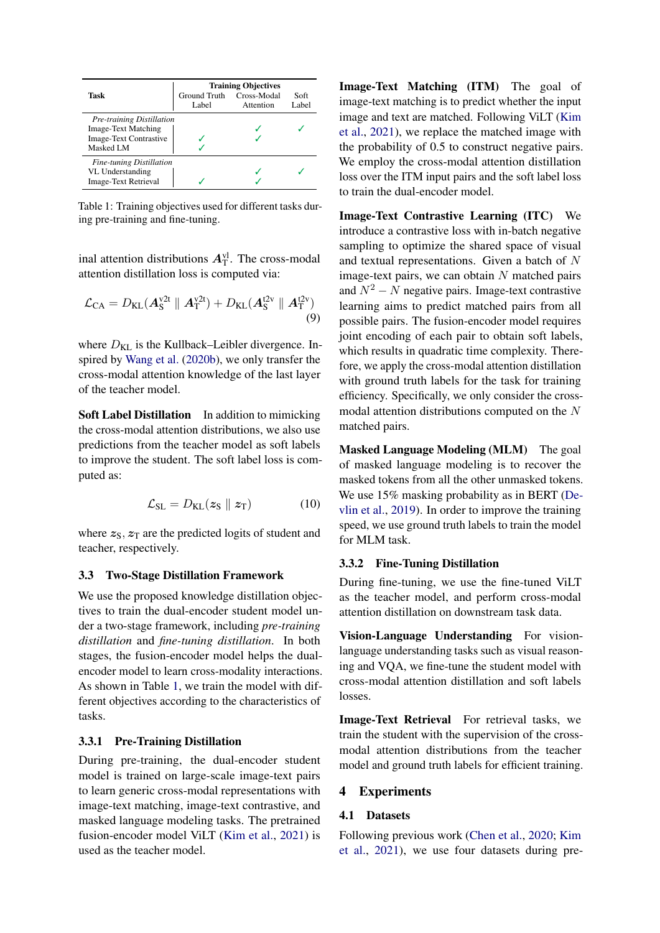<span id="page-4-0"></span>

|                                  | <b>Training Objectives</b> |               |  |  |  |  |  |
|----------------------------------|----------------------------|---------------|--|--|--|--|--|
| Task                             | Ground Truth<br>Label      | Soft<br>Label |  |  |  |  |  |
| <b>Pre-training Distillation</b> |                            |               |  |  |  |  |  |
| <b>Image-Text Matching</b>       |                            |               |  |  |  |  |  |
| <b>Image-Text Contrastive</b>    |                            |               |  |  |  |  |  |
| Masked LM                        |                            |               |  |  |  |  |  |
| <b>Fine-tuning Distillation</b>  |                            |               |  |  |  |  |  |
| VL Understanding                 |                            |               |  |  |  |  |  |
| <b>Image-Text Retrieval</b>      |                            |               |  |  |  |  |  |

Table 1: Training objectives used for different tasks during pre-training and fine-tuning.

inal attention distributions  $A_{\text{T}}^{\text{vl}}$ . The cross-modal attention distillation loss is computed via:

$$
\mathcal{L}_{CA} = D_{KL}(A_S^{\text{V2t}} \parallel A_T^{\text{V2t}}) + D_{KL}(A_S^{\text{t2v}} \parallel A_T^{\text{t2v}})
$$
\n(9)

where  $D_{KL}$  is the Kullback–Leibler divergence. Inspired by [Wang et al.](#page-10-14) [\(2020b\)](#page-10-14), we only transfer the cross-modal attention knowledge of the last layer of the teacher model.

Soft Label Distillation In addition to mimicking the cross-modal attention distributions, we also use predictions from the teacher model as soft labels to improve the student. The soft label loss is computed as:

$$
\mathcal{L}_{\text{SL}} = D_{\text{KL}}(\boldsymbol{z}_{\text{S}} \parallel \boldsymbol{z}_{\text{T}}) \tag{10}
$$

where  $z_{\rm S}$ ,  $z_{\rm T}$  are the predicted logits of student and teacher, respectively.

# 3.3 Two-Stage Distillation Framework

We use the proposed knowledge distillation objectives to train the dual-encoder student model under a two-stage framework, including *pre-training distillation* and *fine-tuning distillation*. In both stages, the fusion-encoder model helps the dualencoder model to learn cross-modality interactions. As shown in Table [1,](#page-4-0) we train the model with different objectives according to the characteristics of tasks.

# 3.3.1 Pre-Training Distillation

During pre-training, the dual-encoder student model is trained on large-scale image-text pairs to learn generic cross-modal representations with image-text matching, image-text contrastive, and masked language modeling tasks. The pretrained fusion-encoder model ViLT [\(Kim et al.,](#page-9-4) [2021\)](#page-9-4) is used as the teacher model.

Image-Text Matching (ITM) The goal of image-text matching is to predict whether the input image and text are matched. Following ViLT [\(Kim](#page-9-4) [et al.,](#page-9-4) [2021\)](#page-9-4), we replace the matched image with the probability of 0.5 to construct negative pairs. We employ the cross-modal attention distillation loss over the ITM input pairs and the soft label loss to train the dual-encoder model.

Image-Text Contrastive Learning (ITC) We introduce a contrastive loss with in-batch negative sampling to optimize the shared space of visual and textual representations. Given a batch of N image-text pairs, we can obtain  $N$  matched pairs and  $N^2 - N$  negative pairs. Image-text contrastive learning aims to predict matched pairs from all possible pairs. The fusion-encoder model requires joint encoding of each pair to obtain soft labels, which results in quadratic time complexity. Therefore, we apply the cross-modal attention distillation with ground truth labels for the task for training efficiency. Specifically, we only consider the crossmodal attention distributions computed on the N matched pairs.

Masked Language Modeling (MLM) The goal of masked language modeling is to recover the masked tokens from all the other unmasked tokens. We use 15% masking probability as in BERT [\(De](#page-8-4)[vlin et al.,](#page-8-4) [2019\)](#page-8-4). In order to improve the training speed, we use ground truth labels to train the model for MLM task.

# 3.3.2 Fine-Tuning Distillation

During fine-tuning, we use the fine-tuned ViLT as the teacher model, and perform cross-modal attention distillation on downstream task data.

Vision-Language Understanding For visionlanguage understanding tasks such as visual reasoning and VQA, we fine-tune the student model with cross-modal attention distillation and soft labels losses.

Image-Text Retrieval For retrieval tasks, we train the student with the supervision of the crossmodal attention distributions from the teacher model and ground truth labels for efficient training.

# 4 Experiments

#### 4.1 Datasets

Following previous work [\(Chen et al.,](#page-7-0) [2020;](#page-7-0) [Kim](#page-9-4) [et al.,](#page-9-4) [2021\)](#page-9-4), we use four datasets during pre-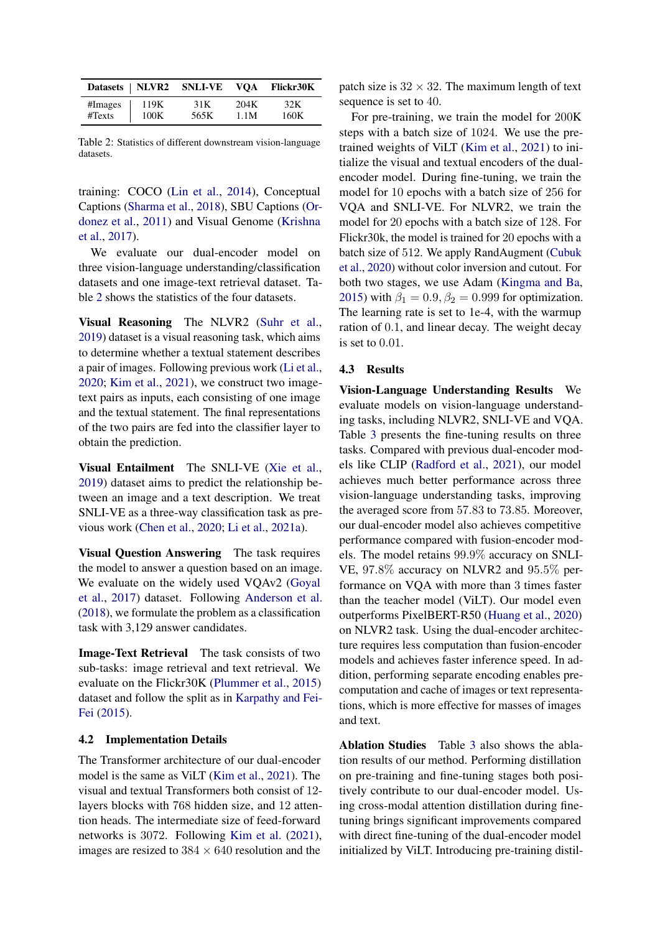<span id="page-5-0"></span>

|         |      | Datasets   NLVR2 SNLI-VE VQA Flickr30K |      |      |
|---------|------|----------------------------------------|------|------|
| #Images | 119K | 31 K                                   | 204K | 32K  |
| #Texts  | 100K | 565K                                   | 1.1M | 160K |

Table 2: Statistics of different downstream vision-language datasets.

training: COCO [\(Lin et al.,](#page-9-11) [2014\)](#page-9-11), Conceptual Captions [\(Sharma et al.,](#page-10-16) [2018\)](#page-10-16), SBU Captions [\(Or](#page-9-12)[donez et al.,](#page-9-12) [2011\)](#page-9-12) and Visual Genome [\(Krishna](#page-9-10) [et al.,](#page-9-10) [2017\)](#page-9-10).

We evaluate our dual-encoder model on three vision-language understanding/classification datasets and one image-text retrieval dataset. Table [2](#page-5-0) shows the statistics of the four datasets.

Visual Reasoning The NLVR2 [\(Suhr et al.,](#page-10-2) [2019\)](#page-10-2) dataset is a visual reasoning task, which aims to determine whether a textual statement describes a pair of images. Following previous work [\(Li et al.,](#page-9-2) [2020;](#page-9-2) [Kim et al.,](#page-9-4) [2021\)](#page-9-4), we construct two imagetext pairs as inputs, each consisting of one image and the textual statement. The final representations of the two pairs are fed into the classifier layer to obtain the prediction.

Visual Entailment The SNLI-VE [\(Xie et al.,](#page-11-6) [2019\)](#page-11-6) dataset aims to predict the relationship between an image and a text description. We treat SNLI-VE as a three-way classification task as previous work [\(Chen et al.,](#page-7-0) [2020;](#page-7-0) [Li et al.,](#page-9-6) [2021a\)](#page-9-6).

Visual Question Answering The task requires the model to answer a question based on an image. We evaluate on the widely used VQAv2 [\(Goyal](#page-8-0) [et al.,](#page-8-0) [2017\)](#page-8-0) dataset. Following [Anderson et al.](#page-7-3) [\(2018\)](#page-7-3), we formulate the problem as a classification task with 3,129 answer candidates.

Image-Text Retrieval The task consists of two sub-tasks: image retrieval and text retrieval. We evaluate on the Flickr30K [\(Plummer et al.,](#page-9-13) [2015\)](#page-9-13) dataset and follow the split as in [Karpathy and Fei-](#page-9-14)[Fei](#page-9-14) [\(2015\)](#page-9-14).

#### 4.2 Implementation Details

The Transformer architecture of our dual-encoder model is the same as ViLT [\(Kim et al.,](#page-9-4) [2021\)](#page-9-4). The visual and textual Transformers both consist of 12 layers blocks with 768 hidden size, and 12 attention heads. The intermediate size of feed-forward networks is 3072. Following [Kim et al.](#page-9-4) [\(2021\)](#page-9-4), images are resized to  $384 \times 640$  resolution and the

patch size is  $32 \times 32$ . The maximum length of text sequence is set to 40.

For pre-training, we train the model for 200K steps with a batch size of 1024. We use the pretrained weights of ViLT [\(Kim et al.,](#page-9-4) [2021\)](#page-9-4) to initialize the visual and textual encoders of the dualencoder model. During fine-tuning, we train the model for 10 epochs with a batch size of 256 for VQA and SNLI-VE. For NLVR2, we train the model for 20 epochs with a batch size of 128. For Flickr30k, the model is trained for 20 epochs with a batch size of 512. We apply RandAugment [\(Cubuk](#page-8-14) [et al.,](#page-8-14) [2020\)](#page-8-14) without color inversion and cutout. For both two stages, we use Adam [\(Kingma and Ba,](#page-9-15) [2015\)](#page-9-15) with  $\beta_1 = 0.9$ ,  $\beta_2 = 0.999$  for optimization. The learning rate is set to 1e-4, with the warmup ration of 0.1, and linear decay. The weight decay is set to 0.01.

#### 4.3 Results

Vision-Language Understanding Results We evaluate models on vision-language understanding tasks, including NLVR2, SNLI-VE and VQA. Table [3](#page-6-0) presents the fine-tuning results on three tasks. Compared with previous dual-encoder models like CLIP [\(Radford et al.,](#page-9-5) [2021\)](#page-9-5), our model achieves much better performance across three vision-language understanding tasks, improving the averaged score from 57.83 to 73.85. Moreover, our dual-encoder model also achieves competitive performance compared with fusion-encoder models. The model retains 99.9% accuracy on SNLI-VE, 97.8% accuracy on NLVR2 and 95.5% performance on VQA with more than 3 times faster than the teacher model (ViLT). Our model even outperforms PixelBERT-R50 [\(Huang et al.,](#page-8-12) [2020\)](#page-8-12) on NLVR2 task. Using the dual-encoder architecture requires less computation than fusion-encoder models and achieves faster inference speed. In addition, performing separate encoding enables precomputation and cache of images or text representations, which is more effective for masses of images and text.

Ablation Studies Table [3](#page-6-0) also shows the ablation results of our method. Performing distillation on pre-training and fine-tuning stages both positively contribute to our dual-encoder model. Using cross-modal attention distillation during finetuning brings significant improvements compared with direct fine-tuning of the dual-encoder model initialized by ViLT. Introducing pre-training distil-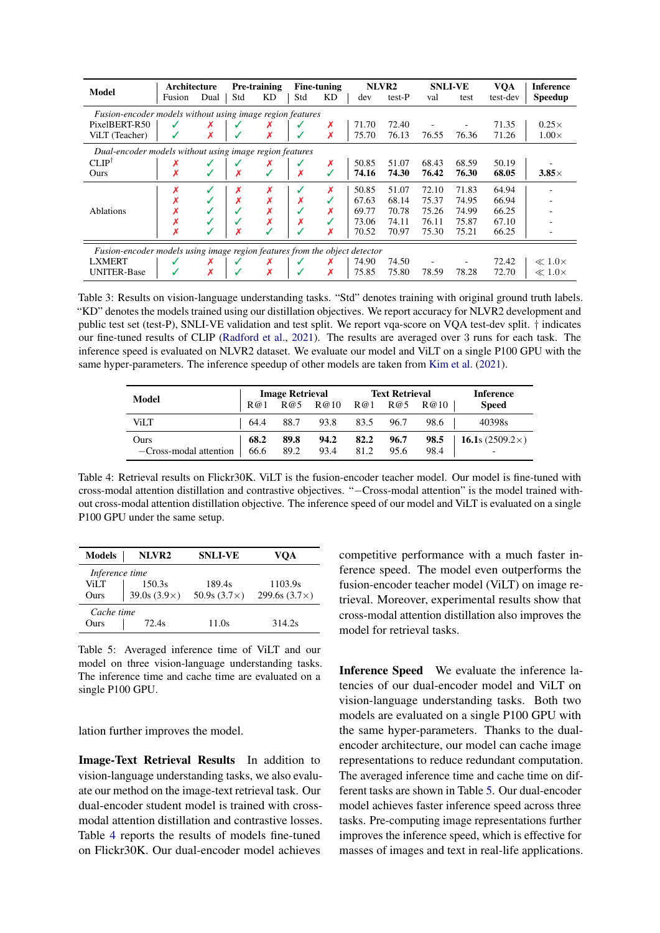<span id="page-6-0"></span>

| <b>Model</b>                                                               | Architecture                                            |      |     | <b>Pre-training</b> |     | Fine-tuning |       | NLVR <sub>2</sub> |       | <b>SNLI-VE</b> | <b>VOA</b> | <b>Inference</b> |
|----------------------------------------------------------------------------|---------------------------------------------------------|------|-----|---------------------|-----|-------------|-------|-------------------|-------|----------------|------------|------------------|
|                                                                            | Fusion                                                  | Dual | Std | KD                  | Std | KD          | dev   | test-P            | val   | test           | test-dev   | Speedup          |
| Fusion-encoder models without using image region features                  |                                                         |      |     |                     |     |             |       |                   |       |                |            |                  |
| PixelBERT-R50                                                              |                                                         |      |     |                     |     | х           | 71.70 | 72.40             |       |                | 71.35      | $0.25\times$     |
| ViLT (Teacher)                                                             |                                                         | x    |     | х                   |     | X           | 75.70 | 76.13             | 76.55 | 76.36          | 71.26      | $1.00\times$     |
|                                                                            | Dual-encoder models without using image region features |      |     |                     |     |             |       |                   |       |                |            |                  |
| CLIP <sup>†</sup>                                                          |                                                         |      |     | Х                   |     | х           | 50.85 | 51.07             | 68.43 | 68.59          | 50.19      |                  |
| Ours                                                                       | Х                                                       |      |     |                     |     |             | 74.16 | 74.30             | 76.42 | 76.30          | 68.05      | $3.85\times$     |
|                                                                            | Х                                                       |      | х   | Х                   |     | X           | 50.85 | 51.07             | 72.10 | 71.83          | 64.94      |                  |
|                                                                            |                                                         |      | X   | Х                   |     |             | 67.63 | 68.14             | 75.37 | 74.95          | 66.94      |                  |
| <b>Ablations</b>                                                           |                                                         |      |     |                     |     | X           | 69.77 | 70.78             | 75.26 | 74.99          | 66.25      |                  |
|                                                                            |                                                         |      |     | Х                   |     |             | 73.06 | 74.11             | 76.11 | 75.87          | 67.10      |                  |
|                                                                            |                                                         |      |     |                     |     | X           | 70.52 | 70.97             | 75.30 | 75.21          | 66.25      |                  |
| Fusion-encoder models using image region features from the object detector |                                                         |      |     |                     |     |             |       |                   |       |                |            |                  |
| <b>LXMERT</b>                                                              |                                                         | х    |     | Х                   |     |             | 74.90 | 74.50             |       |                | 72.42      | $\ll 1.0\times$  |
| <b>UNITER-Base</b>                                                         |                                                         | Х    |     | Х                   |     | Х           | 75.85 | 75.80             | 78.59 | 78.28          | 72.70      | $\ll 1.0\times$  |

Table 3: Results on vision-language understanding tasks. "Std" denotes training with original ground truth labels. "KD" denotes the models trained using our distillation objectives. We report accuracy for NLVR2 development and public test set (test-P), SNLI-VE validation and test split. We report vqa-score on VQA test-dev split. † indicates our fine-tuned results of CLIP [\(Radford et al.,](#page-9-5) [2021\)](#page-9-5). The results are averaged over 3 runs for each task. The inference speed is evaluated on NLVR2 dataset. We evaluate our model and ViLT on a single P100 GPU with the same hyper-parameters. The inference speedup of other models are taken from [Kim et al.](#page-9-4) [\(2021\)](#page-9-4).

<span id="page-6-1"></span>

| Model                  | <b>Image Retrieval</b> |      |                       | <b>Text Retrieval</b> | Inference |      |                        |
|------------------------|------------------------|------|-----------------------|-----------------------|-----------|------|------------------------|
|                        | R@1                    |      | R@5 R@10 R@1 R@5 R@10 |                       |           |      | <b>Speed</b>           |
| ViI T                  | 64.4                   | 88.7 | 93.8                  | 83.5                  | 96.7      | 98.6 | 40398s                 |
| Ours                   | 68.2                   | 89.8 | 94.2                  | 82.2                  | 96.7      | 98.5 | 16.1s $(2509.2\times)$ |
| -Cross-modal attention | 66.6                   | 89.2 | 93.4                  | 81.2                  | 95.6      | 98.4 | -                      |

Table 4: Retrieval results on Flickr30K. ViLT is the fusion-encoder teacher model. Our model is fine-tuned with cross-modal attention distillation and contrastive objectives. "−Cross-modal attention" is the model trained without cross-modal attention distillation objective. The inference speed of our model and ViLT is evaluated on a single P100 GPU under the same setup.

<span id="page-6-2"></span>

| <b>Models</b>  | NLVR <sub>2</sub><br><b>SNLI-VE</b> |                     | VOA                  |
|----------------|-------------------------------------|---------------------|----------------------|
| Inference time |                                     |                     |                      |
| ViLT           | 150.3s                              | 189.4s              | 1103.9s              |
| Ours           | 39.0s $(3.9\times)$                 | 50.9s $(3.7\times)$ | 299.6s $(3.7\times)$ |
| Cache time     |                                     |                     |                      |
| Ours           | 72.4s                               | 11.0s               | 314.2s               |

Table 5: Averaged inference time of ViLT and our model on three vision-language understanding tasks. The inference time and cache time are evaluated on a single P100 GPU.

lation further improves the model.

Image-Text Retrieval Results In addition to vision-language understanding tasks, we also evaluate our method on the image-text retrieval task. Our dual-encoder student model is trained with crossmodal attention distillation and contrastive losses. Table [4](#page-6-1) reports the results of models fine-tuned on Flickr30K. Our dual-encoder model achieves

competitive performance with a much faster inference speed. The model even outperforms the fusion-encoder teacher model (ViLT) on image retrieval. Moreover, experimental results show that cross-modal attention distillation also improves the model for retrieval tasks.

Inference Speed We evaluate the inference latencies of our dual-encoder model and ViLT on vision-language understanding tasks. Both two models are evaluated on a single P100 GPU with the same hyper-parameters. Thanks to the dualencoder architecture, our model can cache image representations to reduce redundant computation. The averaged inference time and cache time on different tasks are shown in Table [5.](#page-6-2) Our dual-encoder model achieves faster inference speed across three tasks. Pre-computing image representations further improves the inference speed, which is effective for masses of images and text in real-life applications.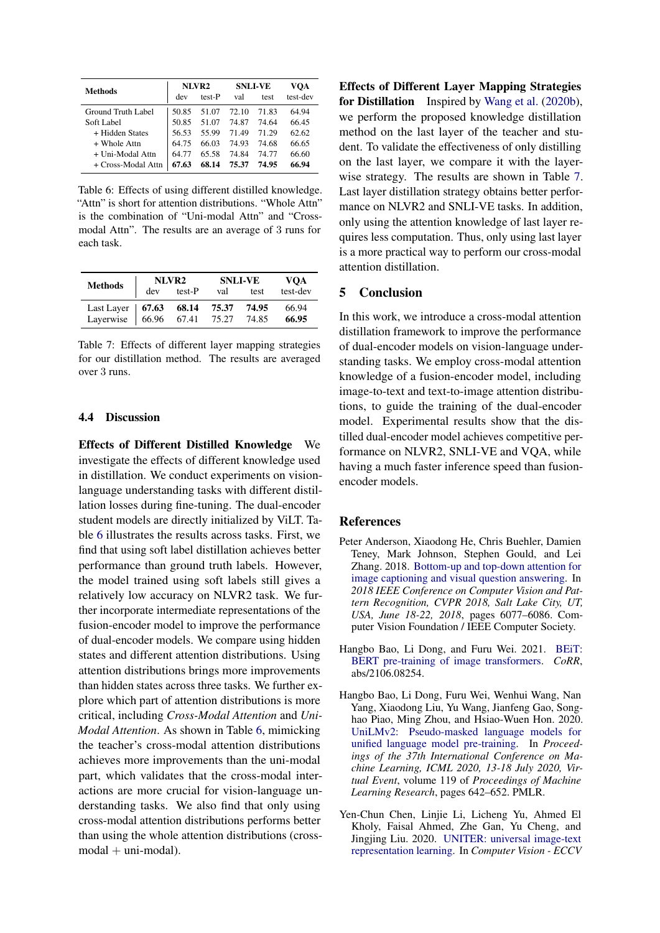<span id="page-7-4"></span>

| <b>Methods</b>     |       | NLVR2  |       | <b>SNLI-VE</b> | VOA      |
|--------------------|-------|--------|-------|----------------|----------|
|                    | dev   | test-P | val   | test           | test-dev |
| Ground Truth Label | 50.85 | 51.07  | 72.10 | 71.83          | 64.94    |
| Soft Label         | 50.85 | 51.07  | 74.87 | 74 64          | 66.45    |
| + Hidden States    | 56.53 | 55.99  | 7149  | 71 29          | 62.62    |
| $+$ Whole Attn     | 64.75 | 66.03  | 74.93 | 74.68          | 66.65    |
| + Uni-Modal Attn   | 64.77 | 65.58  | 74.84 | 74.77          | 66.60    |
| + Cross-Modal Attn | 67.63 | 68.14  | 75.37 | 74.95          | 66.94    |

Table 6: Effects of using different distilled knowledge. "Attn" is short for attention distributions. "Whole Attn" is the combination of "Uni-modal Attn" and "Crossmodal Attn". The results are an average of 3 runs for each task.

<span id="page-7-5"></span>

| <b>Methods</b>                                                              |     | NLVR <sub>2</sub> | <b>SNLI-VE</b> | VOA   |          |
|-----------------------------------------------------------------------------|-----|-------------------|----------------|-------|----------|
|                                                                             | dev | test-P            | val            | test  | test-dev |
| Last Layer   67.63    68.14    75.37<br>Layerwise   66.96    67.41    75.27 |     |                   |                | 74.95 | 66.94    |
|                                                                             |     |                   |                | 74.85 | 66.95    |

Table 7: Effects of different layer mapping strategies for our distillation method. The results are averaged over 3 runs.

# 4.4 Discussion

Effects of Different Distilled Knowledge We investigate the effects of different knowledge used in distillation. We conduct experiments on visionlanguage understanding tasks with different distillation losses during fine-tuning. The dual-encoder student models are directly initialized by ViLT. Table [6](#page-7-4) illustrates the results across tasks. First, we find that using soft label distillation achieves better performance than ground truth labels. However, the model trained using soft labels still gives a relatively low accuracy on NLVR2 task. We further incorporate intermediate representations of the fusion-encoder model to improve the performance of dual-encoder models. We compare using hidden states and different attention distributions. Using attention distributions brings more improvements than hidden states across three tasks. We further explore which part of attention distributions is more critical, including *Cross-Modal Attention* and *Uni-Modal Attention*. As shown in Table [6,](#page-7-4) mimicking the teacher's cross-modal attention distributions achieves more improvements than the uni-modal part, which validates that the cross-modal interactions are more crucial for vision-language understanding tasks. We also find that only using cross-modal attention distributions performs better than using the whole attention distributions (cross $modal + uni-modal$ ).

Effects of Different Layer Mapping Strategies for Distillation Inspired by [Wang et al.](#page-10-14) [\(2020b\)](#page-10-14), we perform the proposed knowledge distillation method on the last layer of the teacher and student. To validate the effectiveness of only distilling on the last layer, we compare it with the layerwise strategy. The results are shown in Table [7.](#page-7-5) Last layer distillation strategy obtains better performance on NLVR2 and SNLI-VE tasks. In addition, only using the attention knowledge of last layer requires less computation. Thus, only using last layer is a more practical way to perform our cross-modal attention distillation.

## 5 Conclusion

In this work, we introduce a cross-modal attention distillation framework to improve the performance of dual-encoder models on vision-language understanding tasks. We employ cross-modal attention knowledge of a fusion-encoder model, including image-to-text and text-to-image attention distributions, to guide the training of the dual-encoder model. Experimental results show that the distilled dual-encoder model achieves competitive performance on NLVR2, SNLI-VE and VQA, while having a much faster inference speed than fusionencoder models.

#### References

- <span id="page-7-3"></span>Peter Anderson, Xiaodong He, Chris Buehler, Damien Teney, Mark Johnson, Stephen Gould, and Lei Zhang. 2018. [Bottom-up and top-down attention for](https://doi.org/10.1109/CVPR.2018.00636) [image captioning and visual question answering.](https://doi.org/10.1109/CVPR.2018.00636) In *2018 IEEE Conference on Computer Vision and Pattern Recognition, CVPR 2018, Salt Lake City, UT, USA, June 18-22, 2018*, pages 6077–6086. Computer Vision Foundation / IEEE Computer Society.
- <span id="page-7-2"></span>Hangbo Bao, Li Dong, and Furu Wei. 2021. [BEiT:](http://arxiv.org/abs/2106.08254) [BERT pre-training of image transformers.](http://arxiv.org/abs/2106.08254) *CoRR*, abs/2106.08254.
- <span id="page-7-1"></span>Hangbo Bao, Li Dong, Furu Wei, Wenhui Wang, Nan Yang, Xiaodong Liu, Yu Wang, Jianfeng Gao, Songhao Piao, Ming Zhou, and Hsiao-Wuen Hon. 2020. [UniLMv2: Pseudo-masked language models for](http://proceedings.mlr.press/v119/bao20a.html) [unified language model pre-training.](http://proceedings.mlr.press/v119/bao20a.html) In *Proceedings of the 37th International Conference on Machine Learning, ICML 2020, 13-18 July 2020, Virtual Event*, volume 119 of *Proceedings of Machine Learning Research*, pages 642–652. PMLR.
- <span id="page-7-0"></span>Yen-Chun Chen, Linjie Li, Licheng Yu, Ahmed El Kholy, Faisal Ahmed, Zhe Gan, Yu Cheng, and Jingjing Liu. 2020. [UNITER: universal image-text](https://doi.org/10.1007/978-3-030-58577-8_7) [representation learning.](https://doi.org/10.1007/978-3-030-58577-8_7) In *Computer Vision - ECCV*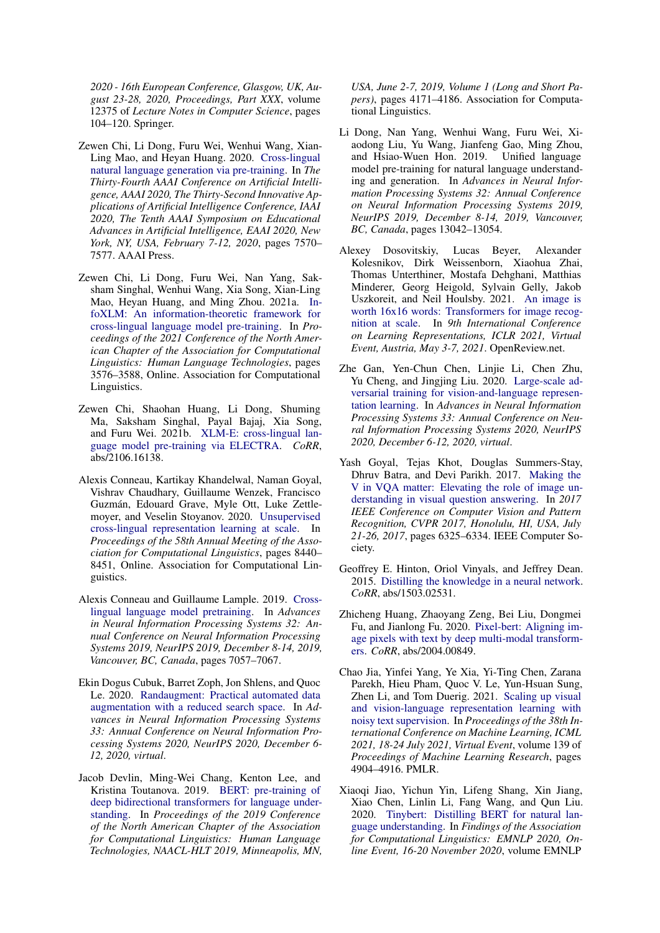*2020 - 16th European Conference, Glasgow, UK, August 23-28, 2020, Proceedings, Part XXX*, volume 12375 of *Lecture Notes in Computer Science*, pages 104–120. Springer.

- <span id="page-8-7"></span>Zewen Chi, Li Dong, Furu Wei, Wenhui Wang, Xian-Ling Mao, and Heyan Huang. 2020. [Cross-lingual](https://aaai.org/ojs/index.php/AAAI/article/view/6256) [natural language generation via pre-training.](https://aaai.org/ojs/index.php/AAAI/article/view/6256) In *The Thirty-Fourth AAAI Conference on Artificial Intelligence, AAAI 2020, The Thirty-Second Innovative Applications of Artificial Intelligence Conference, IAAI 2020, The Tenth AAAI Symposium on Educational Advances in Artificial Intelligence, EAAI 2020, New York, NY, USA, February 7-12, 2020*, pages 7570– 7577. AAAI Press.
- <span id="page-8-9"></span>Zewen Chi, Li Dong, Furu Wei, Nan Yang, Saksham Singhal, Wenhui Wang, Xia Song, Xian-Ling Mao, Heyan Huang, and Ming Zhou. 2021a. [In](https://www.aclweb.org/anthology/2021.naacl-main.280)[foXLM: An information-theoretic framework for](https://www.aclweb.org/anthology/2021.naacl-main.280) [cross-lingual language model pre-training.](https://www.aclweb.org/anthology/2021.naacl-main.280) In *Proceedings of the 2021 Conference of the North American Chapter of the Association for Computational Linguistics: Human Language Technologies*, pages 3576–3588, Online. Association for Computational Linguistics.
- <span id="page-8-10"></span>Zewen Chi, Shaohan Huang, Li Dong, Shuming Ma, Saksham Singhal, Payal Bajaj, Xia Song, and Furu Wei. 2021b. [XLM-E: cross-lingual lan](http://arxiv.org/abs/2106.16138)[guage model pre-training via ELECTRA.](http://arxiv.org/abs/2106.16138) *CoRR*, abs/2106.16138.
- <span id="page-8-8"></span>Alexis Conneau, Kartikay Khandelwal, Naman Goyal, Vishrav Chaudhary, Guillaume Wenzek, Francisco Guzmán, Edouard Grave, Myle Ott, Luke Zettlemoyer, and Veselin Stoyanov. 2020. [Unsupervised](https://www.aclweb.org/anthology/2020.acl-main.747) [cross-lingual representation learning at scale.](https://www.aclweb.org/anthology/2020.acl-main.747) In *Proceedings of the 58th Annual Meeting of the Association for Computational Linguistics*, pages 8440– 8451, Online. Association for Computational Linguistics.
- <span id="page-8-6"></span>Alexis Conneau and Guillaume Lample. 2019. [Cross](https://proceedings.neurips.cc/paper/2019/hash/c04c19c2c2474dbf5f7ac4372c5b9af1-Abstract.html)[lingual language model pretraining.](https://proceedings.neurips.cc/paper/2019/hash/c04c19c2c2474dbf5f7ac4372c5b9af1-Abstract.html) In *Advances in Neural Information Processing Systems 32: Annual Conference on Neural Information Processing Systems 2019, NeurIPS 2019, December 8-14, 2019, Vancouver, BC, Canada*, pages 7057–7067.
- <span id="page-8-14"></span>Ekin Dogus Cubuk, Barret Zoph, Jon Shlens, and Quoc Le. 2020. [Randaugment: Practical automated data](https://proceedings.neurips.cc/paper/2020/hash/d85b63ef0ccb114d0a3bb7b7d808028f-Abstract.html) [augmentation with a reduced search space.](https://proceedings.neurips.cc/paper/2020/hash/d85b63ef0ccb114d0a3bb7b7d808028f-Abstract.html) In *Advances in Neural Information Processing Systems 33: Annual Conference on Neural Information Processing Systems 2020, NeurIPS 2020, December 6- 12, 2020, virtual*.
- <span id="page-8-4"></span>Jacob Devlin, Ming-Wei Chang, Kenton Lee, and Kristina Toutanova. 2019. [BERT: pre-training of](https://doi.org/10.18653/v1/n19-1423) [deep bidirectional transformers for language under](https://doi.org/10.18653/v1/n19-1423)[standing.](https://doi.org/10.18653/v1/n19-1423) In *Proceedings of the 2019 Conference of the North American Chapter of the Association for Computational Linguistics: Human Language Technologies, NAACL-HLT 2019, Minneapolis, MN,*

*USA, June 2-7, 2019, Volume 1 (Long and Short Papers)*, pages 4171–4186. Association for Computational Linguistics.

- <span id="page-8-5"></span>Li Dong, Nan Yang, Wenhui Wang, Furu Wei, Xiaodong Liu, Yu Wang, Jianfeng Gao, Ming Zhou, and Hsiao-Wuen Hon. 2019. Unified language model pre-training for natural language understanding and generation. In *Advances in Neural Information Processing Systems 32: Annual Conference on Neural Information Processing Systems 2019, NeurIPS 2019, December 8-14, 2019, Vancouver, BC, Canada*, pages 13042–13054.
- <span id="page-8-1"></span>Alexey Dosovitskiy, Lucas Beyer, Alexander Kolesnikov, Dirk Weissenborn, Xiaohua Zhai, Thomas Unterthiner, Mostafa Dehghani, Matthias Minderer, Georg Heigold, Sylvain Gelly, Jakob Uszkoreit, and Neil Houlsby. 2021. [An image is](https://openreview.net/forum?id=YicbFdNTTy) [worth 16x16 words: Transformers for image recog](https://openreview.net/forum?id=YicbFdNTTy)[nition at scale.](https://openreview.net/forum?id=YicbFdNTTy) In *9th International Conference on Learning Representations, ICLR 2021, Virtual Event, Austria, May 3-7, 2021*. OpenReview.net.
- <span id="page-8-11"></span>Zhe Gan, Yen-Chun Chen, Linjie Li, Chen Zhu, Yu Cheng, and Jingjing Liu. 2020. [Large-scale ad](https://proceedings.neurips.cc/paper/2020/hash/49562478de4c54fafd4ec46fdb297de5-Abstract.html)[versarial training for vision-and-language represen](https://proceedings.neurips.cc/paper/2020/hash/49562478de4c54fafd4ec46fdb297de5-Abstract.html)[tation learning.](https://proceedings.neurips.cc/paper/2020/hash/49562478de4c54fafd4ec46fdb297de5-Abstract.html) In *Advances in Neural Information Processing Systems 33: Annual Conference on Neural Information Processing Systems 2020, NeurIPS 2020, December 6-12, 2020, virtual*.
- <span id="page-8-0"></span>Yash Goyal, Tejas Khot, Douglas Summers-Stay, Dhruv Batra, and Devi Parikh. 2017. [Making the](https://doi.org/10.1109/CVPR.2017.670) [V in VQA matter: Elevating the role of image un](https://doi.org/10.1109/CVPR.2017.670)[derstanding in visual question answering.](https://doi.org/10.1109/CVPR.2017.670) In *2017 IEEE Conference on Computer Vision and Pattern Recognition, CVPR 2017, Honolulu, HI, USA, July 21-26, 2017*, pages 6325–6334. IEEE Computer Society.
- <span id="page-8-3"></span>Geoffrey E. Hinton, Oriol Vinyals, and Jeffrey Dean. 2015. [Distilling the knowledge in a neural network.](http://arxiv.org/abs/1503.02531) *CoRR*, abs/1503.02531.
- <span id="page-8-12"></span>Zhicheng Huang, Zhaoyang Zeng, Bei Liu, Dongmei Fu, and Jianlong Fu. 2020. [Pixel-bert: Aligning im](http://arxiv.org/abs/2004.00849)[age pixels with text by deep multi-modal transform](http://arxiv.org/abs/2004.00849)[ers.](http://arxiv.org/abs/2004.00849) *CoRR*, abs/2004.00849.
- <span id="page-8-2"></span>Chao Jia, Yinfei Yang, Ye Xia, Yi-Ting Chen, Zarana Parekh, Hieu Pham, Quoc V. Le, Yun-Hsuan Sung, Zhen Li, and Tom Duerig. 2021. [Scaling up visual](http://proceedings.mlr.press/v139/jia21b.html) [and vision-language representation learning with](http://proceedings.mlr.press/v139/jia21b.html) [noisy text supervision.](http://proceedings.mlr.press/v139/jia21b.html) In *Proceedings of the 38th International Conference on Machine Learning, ICML 2021, 18-24 July 2021, Virtual Event*, volume 139 of *Proceedings of Machine Learning Research*, pages 4904–4916. PMLR.
- <span id="page-8-13"></span>Xiaoqi Jiao, Yichun Yin, Lifeng Shang, Xin Jiang, Xiao Chen, Linlin Li, Fang Wang, and Qun Liu. 2020. [Tinybert: Distilling BERT for natural lan](https://doi.org/10.18653/v1/2020.findings-emnlp.372)[guage understanding.](https://doi.org/10.18653/v1/2020.findings-emnlp.372) In *Findings of the Association for Computational Linguistics: EMNLP 2020, Online Event, 16-20 November 2020*, volume EMNLP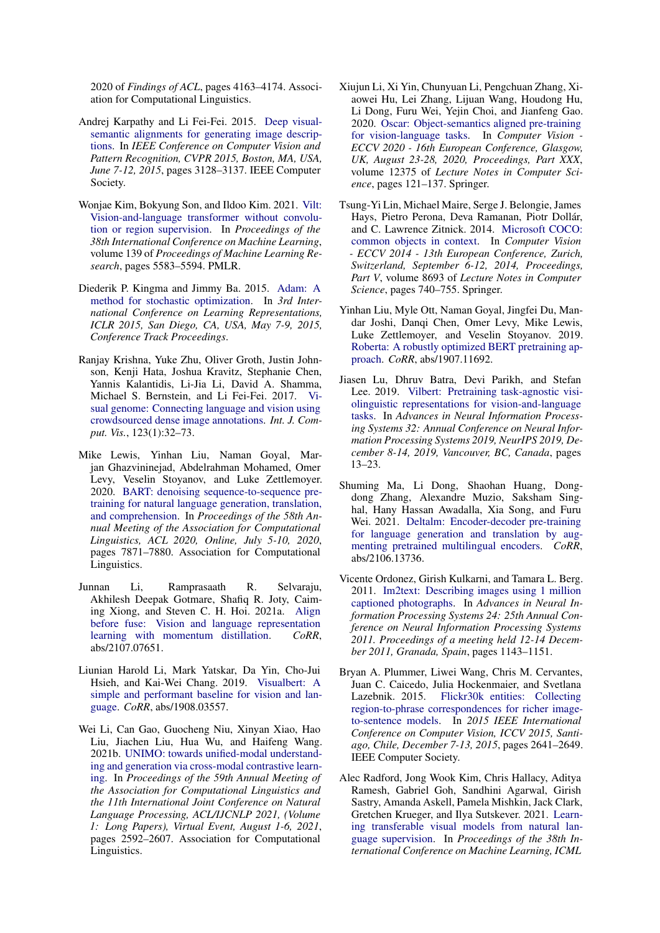2020 of *Findings of ACL*, pages 4163–4174. Association for Computational Linguistics.

- <span id="page-9-14"></span>Andrej Karpathy and Li Fei-Fei. 2015. [Deep visual](https://doi.org/10.1109/CVPR.2015.7298932)[semantic alignments for generating image descrip](https://doi.org/10.1109/CVPR.2015.7298932)[tions.](https://doi.org/10.1109/CVPR.2015.7298932) In *IEEE Conference on Computer Vision and Pattern Recognition, CVPR 2015, Boston, MA, USA, June 7-12, 2015*, pages 3128–3137. IEEE Computer Society.
- <span id="page-9-4"></span>Wonjae Kim, Bokyung Son, and Ildoo Kim. 2021. [Vilt:](http://proceedings.mlr.press/v139/kim21k.html) [Vision-and-language transformer without convolu](http://proceedings.mlr.press/v139/kim21k.html)[tion or region supervision.](http://proceedings.mlr.press/v139/kim21k.html) In *Proceedings of the 38th International Conference on Machine Learning*, volume 139 of *Proceedings of Machine Learning Research*, pages 5583–5594. PMLR.
- <span id="page-9-15"></span>Diederik P. Kingma and Jimmy Ba. 2015. [Adam: A](http://arxiv.org/abs/1412.6980) [method for stochastic optimization.](http://arxiv.org/abs/1412.6980) In *3rd International Conference on Learning Representations, ICLR 2015, San Diego, CA, USA, May 7-9, 2015, Conference Track Proceedings*.
- <span id="page-9-10"></span>Ranjay Krishna, Yuke Zhu, Oliver Groth, Justin Johnson, Kenji Hata, Joshua Kravitz, Stephanie Chen, Yannis Kalantidis, Li-Jia Li, David A. Shamma, Michael S. Bernstein, and Li Fei-Fei. 2017. [Vi](https://doi.org/10.1007/s11263-016-0981-7)[sual genome: Connecting language and vision using](https://doi.org/10.1007/s11263-016-0981-7) [crowdsourced dense image annotations.](https://doi.org/10.1007/s11263-016-0981-7) *Int. J. Comput. Vis.*, 123(1):32–73.
- <span id="page-9-8"></span>Mike Lewis, Yinhan Liu, Naman Goyal, Marjan Ghazvininejad, Abdelrahman Mohamed, Omer Levy, Veselin Stoyanov, and Luke Zettlemoyer. 2020. [BART: denoising sequence-to-sequence pre](https://doi.org/10.18653/v1/2020.acl-main.703)[training for natural language generation, translation,](https://doi.org/10.18653/v1/2020.acl-main.703) [and comprehension.](https://doi.org/10.18653/v1/2020.acl-main.703) In *Proceedings of the 58th Annual Meeting of the Association for Computational Linguistics, ACL 2020, Online, July 5-10, 2020*, pages 7871–7880. Association for Computational Linguistics.
- <span id="page-9-6"></span>Junnan Li, Ramprasaath R. Selvaraju, Akhilesh Deepak Gotmare, Shafiq R. Joty, Caiming Xiong, and Steven C. H. Hoi. 2021a. [Align](http://arxiv.org/abs/2107.07651) [before fuse: Vision and language representation](http://arxiv.org/abs/2107.07651) [learning with momentum distillation.](http://arxiv.org/abs/2107.07651) *CoRR*, abs/2107.07651.
- <span id="page-9-0"></span>Liunian Harold Li, Mark Yatskar, Da Yin, Cho-Jui Hsieh, and Kai-Wei Chang. 2019. [Visualbert: A](http://arxiv.org/abs/1908.03557) [simple and performant baseline for vision and lan](http://arxiv.org/abs/1908.03557)[guage.](http://arxiv.org/abs/1908.03557) *CoRR*, abs/1908.03557.
- <span id="page-9-3"></span>Wei Li, Can Gao, Guocheng Niu, Xinyan Xiao, Hao Liu, Jiachen Liu, Hua Wu, and Haifeng Wang. 2021b. [UNIMO: towards unified-modal understand](https://doi.org/10.18653/v1/2021.acl-long.202)[ing and generation via cross-modal contrastive learn](https://doi.org/10.18653/v1/2021.acl-long.202)[ing.](https://doi.org/10.18653/v1/2021.acl-long.202) In *Proceedings of the 59th Annual Meeting of the Association for Computational Linguistics and the 11th International Joint Conference on Natural Language Processing, ACL/IJCNLP 2021, (Volume 1: Long Papers), Virtual Event, August 1-6, 2021*, pages 2592–2607. Association for Computational Linguistics.
- <span id="page-9-2"></span>Xiujun Li, Xi Yin, Chunyuan Li, Pengchuan Zhang, Xiaowei Hu, Lei Zhang, Lijuan Wang, Houdong Hu, Li Dong, Furu Wei, Yejin Choi, and Jianfeng Gao. 2020. [Oscar: Object-semantics aligned pre-training](https://doi.org/10.1007/978-3-030-58577-8_8) [for vision-language tasks.](https://doi.org/10.1007/978-3-030-58577-8_8) In *Computer Vision - ECCV 2020 - 16th European Conference, Glasgow, UK, August 23-28, 2020, Proceedings, Part XXX*, volume 12375 of *Lecture Notes in Computer Science*, pages 121–137. Springer.
- <span id="page-9-11"></span>Tsung-Yi Lin, Michael Maire, Serge J. Belongie, James Hays, Pietro Perona, Deva Ramanan, Piotr Dollár, and C. Lawrence Zitnick. 2014. [Microsoft COCO:](https://doi.org/10.1007/978-3-319-10602-1_48) [common objects in context.](https://doi.org/10.1007/978-3-319-10602-1_48) In *Computer Vision - ECCV 2014 - 13th European Conference, Zurich, Switzerland, September 6-12, 2014, Proceedings, Part V*, volume 8693 of *Lecture Notes in Computer Science*, pages 740–755. Springer.
- <span id="page-9-7"></span>Yinhan Liu, Myle Ott, Naman Goyal, Jingfei Du, Mandar Joshi, Danqi Chen, Omer Levy, Mike Lewis, Luke Zettlemoyer, and Veselin Stoyanov. 2019. [Roberta: A robustly optimized BERT pretraining ap](http://arxiv.org/abs/1907.11692)[proach.](http://arxiv.org/abs/1907.11692) *CoRR*, abs/1907.11692.
- <span id="page-9-1"></span>Jiasen Lu, Dhruv Batra, Devi Parikh, and Stefan Lee. 2019. [Vilbert: Pretraining task-agnostic visi](https://proceedings.neurips.cc/paper/2019/hash/c74d97b01eae257e44aa9d5bade97baf-Abstract.html)[olinguistic representations for vision-and-language](https://proceedings.neurips.cc/paper/2019/hash/c74d97b01eae257e44aa9d5bade97baf-Abstract.html) [tasks.](https://proceedings.neurips.cc/paper/2019/hash/c74d97b01eae257e44aa9d5bade97baf-Abstract.html) In *Advances in Neural Information Processing Systems 32: Annual Conference on Neural Information Processing Systems 2019, NeurIPS 2019, December 8-14, 2019, Vancouver, BC, Canada*, pages 13–23.
- <span id="page-9-9"></span>Shuming Ma, Li Dong, Shaohan Huang, Dongdong Zhang, Alexandre Muzio, Saksham Singhal, Hany Hassan Awadalla, Xia Song, and Furu Wei. 2021. [Deltalm: Encoder-decoder pre-training](https://arxiv.org/abs/2106.13736) [for language generation and translation by aug](https://arxiv.org/abs/2106.13736)[menting pretrained multilingual encoders.](https://arxiv.org/abs/2106.13736) *CoRR*, abs/2106.13736.
- <span id="page-9-12"></span>Vicente Ordonez, Girish Kulkarni, and Tamara L. Berg. 2011. [Im2text: Describing images using 1 million](https://proceedings.neurips.cc/paper/2011/hash/5dd9db5e033da9c6fb5ba83c7a7ebea9-Abstract.html) [captioned photographs.](https://proceedings.neurips.cc/paper/2011/hash/5dd9db5e033da9c6fb5ba83c7a7ebea9-Abstract.html) In *Advances in Neural Information Processing Systems 24: 25th Annual Conference on Neural Information Processing Systems 2011. Proceedings of a meeting held 12-14 December 2011, Granada, Spain*, pages 1143–1151.
- <span id="page-9-13"></span>Bryan A. Plummer, Liwei Wang, Chris M. Cervantes, Juan C. Caicedo, Julia Hockenmaier, and Svetlana Lazebnik. 2015. [Flickr30k entities: Collecting](https://doi.org/10.1109/ICCV.2015.303) [region-to-phrase correspondences for richer image](https://doi.org/10.1109/ICCV.2015.303)[to-sentence models.](https://doi.org/10.1109/ICCV.2015.303) In *2015 IEEE International Conference on Computer Vision, ICCV 2015, Santiago, Chile, December 7-13, 2015*, pages 2641–2649. IEEE Computer Society.
- <span id="page-9-5"></span>Alec Radford, Jong Wook Kim, Chris Hallacy, Aditya Ramesh, Gabriel Goh, Sandhini Agarwal, Girish Sastry, Amanda Askell, Pamela Mishkin, Jack Clark, Gretchen Krueger, and Ilya Sutskever. 2021. [Learn](http://proceedings.mlr.press/v139/radford21a.html)[ing transferable visual models from natural lan](http://proceedings.mlr.press/v139/radford21a.html)[guage supervision.](http://proceedings.mlr.press/v139/radford21a.html) In *Proceedings of the 38th International Conference on Machine Learning, ICML*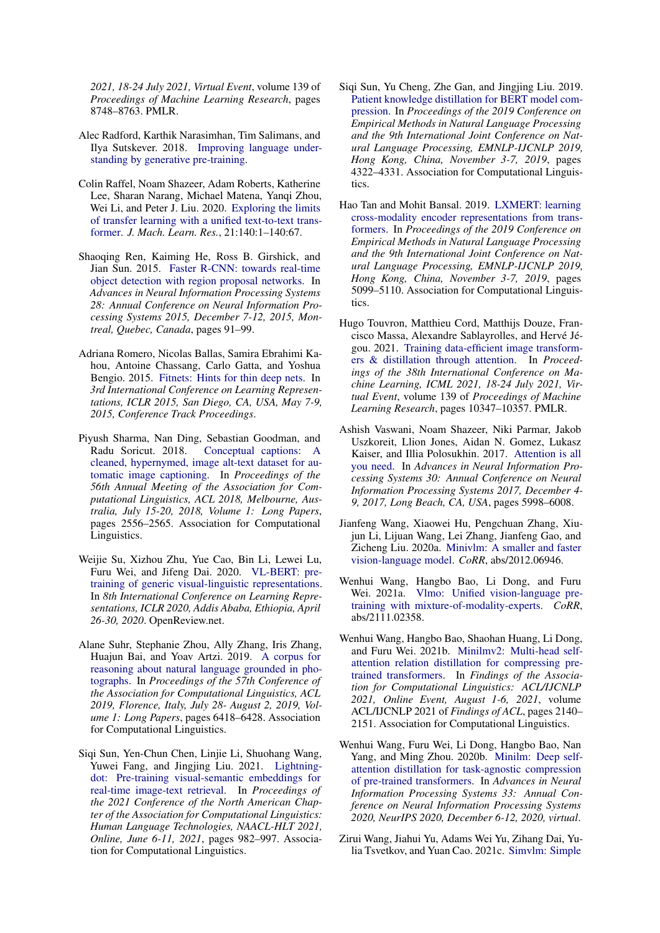*2021, 18-24 July 2021, Virtual Event*, volume 139 of *Proceedings of Machine Learning Research*, pages 8748–8763. PMLR.

- <span id="page-10-4"></span>Alec Radford, Karthik Narasimhan, Tim Salimans, and Ilya Sutskever. 2018. [Improving language under](https://s3-us-west-2.amazonaws.com/openaiassets/research-covers/language-unsupervised/language understanding paper.pdf)[standing by generative pre-training.](https://s3-us-west-2.amazonaws.com/openaiassets/research-covers/language-unsupervised/language understanding paper.pdf)
- <span id="page-10-5"></span>Colin Raffel, Noam Shazeer, Adam Roberts, Katherine Lee, Sharan Narang, Michael Matena, Yanqi Zhou, Wei Li, and Peter J. Liu. 2020. [Exploring the limits](http://jmlr.org/papers/v21/20-074.html) [of transfer learning with a unified text-to-text trans](http://jmlr.org/papers/v21/20-074.html)[former.](http://jmlr.org/papers/v21/20-074.html) *J. Mach. Learn. Res.*, 21:140:1–140:67.
- <span id="page-10-9"></span>Shaoqing Ren, Kaiming He, Ross B. Girshick, and Jian Sun. 2015. [Faster R-CNN: towards real-time](https://proceedings.neurips.cc/paper/2015/hash/14bfa6bb14875e45bba028a21ed38046-Abstract.html) [object detection with region proposal networks.](https://proceedings.neurips.cc/paper/2015/hash/14bfa6bb14875e45bba028a21ed38046-Abstract.html) In *Advances in Neural Information Processing Systems 28: Annual Conference on Neural Information Processing Systems 2015, December 7-12, 2015, Montreal, Quebec, Canada*, pages 91–99.
- <span id="page-10-11"></span>Adriana Romero, Nicolas Ballas, Samira Ebrahimi Kahou, Antoine Chassang, Carlo Gatta, and Yoshua Bengio. 2015. [Fitnets: Hints for thin deep nets.](http://arxiv.org/abs/1412.6550) In *3rd International Conference on Learning Representations, ICLR 2015, San Diego, CA, USA, May 7-9, 2015, Conference Track Proceedings*.
- <span id="page-10-16"></span>Piyush Sharma, Nan Ding, Sebastian Goodman, and Radu Soricut. 2018. [Conceptual captions: A](https://doi.org/10.18653/v1/P18-1238) [cleaned, hypernymed, image alt-text dataset for au](https://doi.org/10.18653/v1/P18-1238)[tomatic image captioning.](https://doi.org/10.18653/v1/P18-1238) In *Proceedings of the 56th Annual Meeting of the Association for Computational Linguistics, ACL 2018, Melbourne, Australia, July 15-20, 2018, Volume 1: Long Papers*, pages 2556–2565. Association for Computational Linguistics.
- <span id="page-10-1"></span>Weijie Su, Xizhou Zhu, Yue Cao, Bin Li, Lewei Lu, Furu Wei, and Jifeng Dai. 2020. [VL-BERT: pre](https://openreview.net/forum?id=SygXPaEYvH)[training of generic visual-linguistic representations.](https://openreview.net/forum?id=SygXPaEYvH) In *8th International Conference on Learning Representations, ICLR 2020, Addis Ababa, Ethiopia, April 26-30, 2020*. OpenReview.net.
- <span id="page-10-2"></span>Alane Suhr, Stephanie Zhou, Ally Zhang, Iris Zhang, Huajun Bai, and Yoav Artzi. 2019. [A corpus for](https://doi.org/10.18653/v1/p19-1644) [reasoning about natural language grounded in pho](https://doi.org/10.18653/v1/p19-1644)[tographs.](https://doi.org/10.18653/v1/p19-1644) In *Proceedings of the 57th Conference of the Association for Computational Linguistics, ACL 2019, Florence, Italy, July 28- August 2, 2019, Volume 1: Long Papers*, pages 6418–6428. Association for Computational Linguistics.
- <span id="page-10-10"></span>Siqi Sun, Yen-Chun Chen, Linjie Li, Shuohang Wang, Yuwei Fang, and Jingjing Liu. 2021. [Lightning](https://doi.org/10.18653/v1/2021.naacl-main.77)[dot: Pre-training visual-semantic embeddings for](https://doi.org/10.18653/v1/2021.naacl-main.77) [real-time image-text retrieval.](https://doi.org/10.18653/v1/2021.naacl-main.77) In *Proceedings of the 2021 Conference of the North American Chapter of the Association for Computational Linguistics: Human Language Technologies, NAACL-HLT 2021, Online, June 6-11, 2021*, pages 982–997. Association for Computational Linguistics.
- <span id="page-10-12"></span>Siqi Sun, Yu Cheng, Zhe Gan, and Jingjing Liu. 2019. [Patient knowledge distillation for BERT model com](https://doi.org/10.18653/v1/D19-1441)[pression.](https://doi.org/10.18653/v1/D19-1441) In *Proceedings of the 2019 Conference on Empirical Methods in Natural Language Processing and the 9th International Joint Conference on Natural Language Processing, EMNLP-IJCNLP 2019, Hong Kong, China, November 3-7, 2019*, pages 4322–4331. Association for Computational Linguistics.
- <span id="page-10-0"></span>Hao Tan and Mohit Bansal. 2019. [LXMERT: learning](https://doi.org/10.18653/v1/D19-1514) [cross-modality encoder representations from trans](https://doi.org/10.18653/v1/D19-1514)[formers.](https://doi.org/10.18653/v1/D19-1514) In *Proceedings of the 2019 Conference on Empirical Methods in Natural Language Processing and the 9th International Joint Conference on Natural Language Processing, EMNLP-IJCNLP 2019, Hong Kong, China, November 3-7, 2019*, pages 5099–5110. Association for Computational Linguistics.
- <span id="page-10-6"></span>Hugo Touvron, Matthieu Cord, Matthijs Douze, Francisco Massa, Alexandre Sablayrolles, and Hervé Jégou. 2021. [Training data-efficient image transform](http://proceedings.mlr.press/v139/touvron21a.html)[ers & distillation through attention.](http://proceedings.mlr.press/v139/touvron21a.html) In *Proceedings of the 38th International Conference on Machine Learning, ICML 2021, 18-24 July 2021, Virtual Event*, volume 139 of *Proceedings of Machine Learning Research*, pages 10347–10357. PMLR.
- <span id="page-10-3"></span>Ashish Vaswani, Noam Shazeer, Niki Parmar, Jakob Uszkoreit, Llion Jones, Aidan N. Gomez, Lukasz Kaiser, and Illia Polosukhin. 2017. [Attention is all](https://proceedings.neurips.cc/paper/2017/hash/3f5ee243547dee91fbd053c1c4a845aa-Abstract.html) [you need.](https://proceedings.neurips.cc/paper/2017/hash/3f5ee243547dee91fbd053c1c4a845aa-Abstract.html) In *Advances in Neural Information Processing Systems 30: Annual Conference on Neural Information Processing Systems 2017, December 4- 9, 2017, Long Beach, CA, USA*, pages 5998–6008.
- <span id="page-10-13"></span>Jianfeng Wang, Xiaowei Hu, Pengchuan Zhang, Xiujun Li, Lijuan Wang, Lei Zhang, Jianfeng Gao, and Zicheng Liu. 2020a. [Minivlm: A smaller and faster](http://arxiv.org/abs/2012.06946) [vision-language model.](http://arxiv.org/abs/2012.06946) *CoRR*, abs/2012.06946.
- <span id="page-10-7"></span>Wenhui Wang, Hangbo Bao, Li Dong, and Furu Wei. 2021a. [Vlmo: Unified vision-language pre](http://arxiv.org/abs/2111.02358)[training with mixture-of-modality-experts.](http://arxiv.org/abs/2111.02358) *CoRR*, abs/2111.02358.
- <span id="page-10-15"></span>Wenhui Wang, Hangbo Bao, Shaohan Huang, Li Dong, and Furu Wei. 2021b. [Minilmv2: Multi-head self](https://doi.org/10.18653/v1/2021.findings-acl.188)[attention relation distillation for compressing pre](https://doi.org/10.18653/v1/2021.findings-acl.188)[trained transformers.](https://doi.org/10.18653/v1/2021.findings-acl.188) In *Findings of the Association for Computational Linguistics: ACL/IJCNLP 2021, Online Event, August 1-6, 2021*, volume ACL/IJCNLP 2021 of *Findings of ACL*, pages 2140– 2151. Association for Computational Linguistics.
- <span id="page-10-14"></span>Wenhui Wang, Furu Wei, Li Dong, Hangbo Bao, Nan Yang, and Ming Zhou. 2020b. [Minilm: Deep self](https://proceedings.neurips.cc/paper/2020/hash/3f5ee243547dee91fbd053c1c4a845aa-Abstract.html)[attention distillation for task-agnostic compression](https://proceedings.neurips.cc/paper/2020/hash/3f5ee243547dee91fbd053c1c4a845aa-Abstract.html) [of pre-trained transformers.](https://proceedings.neurips.cc/paper/2020/hash/3f5ee243547dee91fbd053c1c4a845aa-Abstract.html) In *Advances in Neural Information Processing Systems 33: Annual Conference on Neural Information Processing Systems 2020, NeurIPS 2020, December 6-12, 2020, virtual*.
- <span id="page-10-8"></span>Zirui Wang, Jiahui Yu, Adams Wei Yu, Zihang Dai, Yulia Tsvetkov, and Yuan Cao. 2021c. [Simvlm: Simple](http://arxiv.org/abs/2108.10904)